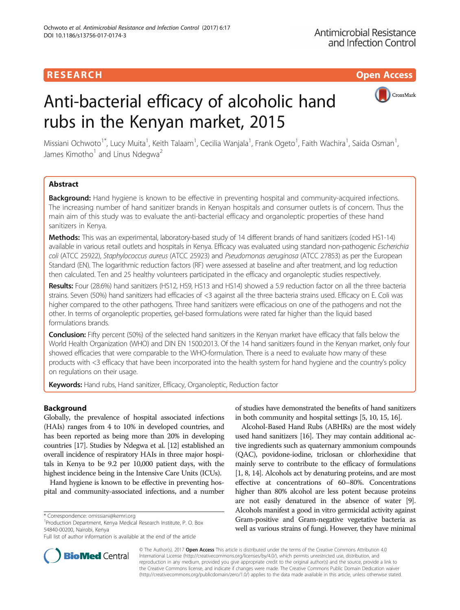## **RESEARCH CHILD CONTROL** CONTROL CONTROL CONTROL CONTROL CONTROL CONTROL CONTROL CONTROL CONTROL CONTROL CONTROL

# Anti-bacterial efficacy of alcoholic hand rubs in the Kenyan market, 2015



Missiani Ochwoto<sup>1\*</sup>, Lucy Muita<sup>1</sup>, Keith Talaam<sup>1</sup>, Cecilia Wanjala<sup>1</sup>, Frank Ogeto<sup>1</sup>, Faith Wachira<sup>1</sup>, Saida Osman<sup>1</sup> , James Kimotho<sup>1</sup> and Linus Ndegwa<sup>2</sup>

## Abstract

Background: Hand hygiene is known to be effective in preventing hospital and community-acquired infections. The increasing number of hand sanitizer brands in Kenyan hospitals and consumer outlets is of concern. Thus the main aim of this study was to evaluate the anti-bacterial efficacy and organoleptic properties of these hand sanitizers in Kenya.

Methods: This was an experimental, laboratory-based study of 14 different brands of hand sanitizers (coded HS1-14) available in various retail outlets and hospitals in Kenya. Efficacy was evaluated using standard non-pathogenic Escherichia coli (ATCC 25922), Staphylococcus aureus (ATCC 25923) and Pseudomonas aeruginosa (ATCC 27853) as per the European Standard (EN). The logarithmic reduction factors (RF) were assessed at baseline and after treatment, and log reduction then calculated. Ten and 25 healthy volunteers participated in the efficacy and organoleptic studies respectively.

Results: Four (28.6%) hand sanitizers (HS12, HS9, HS13 and HS14) showed a 5.9 reduction factor on all the three bacteria strains. Seven (50%) hand sanitizers had efficacies of <3 against all the three bacteria strains used. Efficacy on E. Coli was higher compared to the other pathogens. Three hand sanitizers were efficacious on one of the pathogens and not the other. In terms of organoleptic properties, gel-based formulations were rated far higher than the liquid based formulations brands.

Conclusion: Fifty percent (50%) of the selected hand sanitizers in the Kenyan market have efficacy that falls below the World Health Organization (WHO) and DIN EN 1500:2013. Of the 14 hand sanitizers found in the Kenyan market, only four showed efficacies that were comparable to the WHO-formulation. There is a need to evaluate how many of these products with <3 efficacy that have been incorporated into the health system for hand hygiene and the country's policy on regulations on their usage.

Keywords: Hand rubs, Hand sanitizer, Efficacy, Organoleptic, Reduction factor

## Background

Globally, the prevalence of hospital associated infections (HAIs) ranges from 4 to 10% in developed countries, and has been reported as being more than 20% in developing countries [\[17](#page-5-0)]. Studies by Ndegwa et al. [[12](#page-5-0)] established an overall incidence of respiratory HAIs in three major hospitals in Kenya to be 9.2 per 10,000 patient days, with the highest incidence being in the Intensive Care Units (ICUs).

Hand hygiene is known to be effective in preventing hospital and community-associated infections, and a number

<sup>1</sup> Production Department, Kenya Medical Research Institute, P. O. Box 54840-00200, Nairobi, Kenya



Alcohol-Based Hand Rubs (ABHRs) are the most widely used hand sanitizers [\[16\]](#page-5-0). They may contain additional active ingredients such as quaternary ammonium compounds (QAC), povidone-iodine, triclosan or chlorhexidine that mainly serve to contribute to the efficacy of formulations [[1](#page-5-0), [8, 14\]](#page-5-0). Alcohols act by denaturing proteins, and are most effective at concentrations of 60–80%. Concentrations higher than 80% alcohol are less potent because proteins are not easily denatured in the absence of water [[9](#page-5-0)]. Alcohols manifest a good in vitro germicidal activity against Gram-positive and Gram-negative vegetative bacteria as well as various strains of fungi. However, they have minimal



© The Author(s). 2017 **Open Access** This article is distributed under the terms of the Creative Commons Attribution 4.0 International License [\(http://creativecommons.org/licenses/by/4.0/](http://creativecommons.org/licenses/by/4.0/)), which permits unrestricted use, distribution, and reproduction in any medium, provided you give appropriate credit to the original author(s) and the source, provide a link to the Creative Commons license, and indicate if changes were made. The Creative Commons Public Domain Dedication waiver [\(http://creativecommons.org/publicdomain/zero/1.0/](http://creativecommons.org/publicdomain/zero/1.0/)) applies to the data made available in this article, unless otherwise stated.

<sup>\*</sup> Correspondence: [omissiani@kemri.org](mailto:omissiani@kemri.org) <sup>1</sup>

Full list of author information is available at the end of the article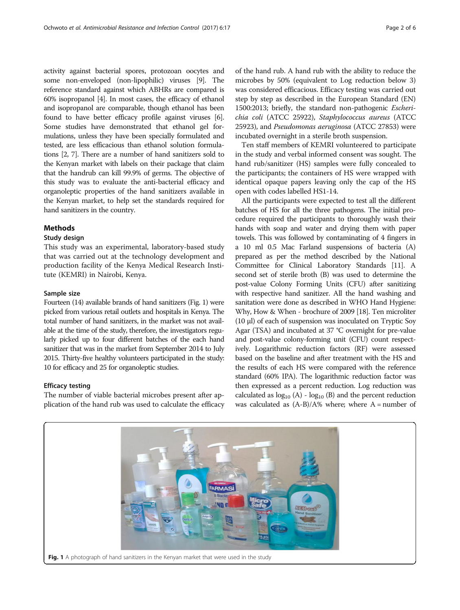activity against bacterial spores, protozoan oocytes and some non-enveloped (non-lipophilic) viruses [\[9](#page-5-0)]. The reference standard against which ABHRs are compared is 60% isopropanol [[4\]](#page-5-0). In most cases, the efficacy of ethanol and isopropanol are comparable, though ethanol has been found to have better efficacy profile against viruses [[6](#page-5-0)]. Some studies have demonstrated that ethanol gel formulations, unless they have been specially formulated and tested, are less efficacious than ethanol solution formulations [\[2, 7](#page-5-0)]. There are a number of hand sanitizers sold to the Kenyan market with labels on their package that claim that the handrub can kill 99.9% of germs. The objective of this study was to evaluate the anti-bacterial efficacy and organoleptic properties of the hand sanitizers available in the Kenyan market, to help set the standards required for hand sanitizers in the country.

## Methods

## Study design

This study was an experimental, laboratory-based study that was carried out at the technology development and production facility of the Kenya Medical Research Institute (KEMRI) in Nairobi, Kenya.

## Sample size

Fourteen (14) available brands of hand sanitizers (Fig. 1) were picked from various retail outlets and hospitals in Kenya. The total number of hand sanitizers, in the market was not available at the time of the study, therefore, the investigators regularly picked up to four different batches of the each hand sanitizer that was in the market from September 2014 to July 2015. Thirty-five healthy volunteers participated in the study: 10 for efficacy and 25 for organoleptic studies.

## Efficacy testing

The number of viable bacterial microbes present after application of the hand rub was used to calculate the efficacy of the hand rub. A hand rub with the ability to reduce the microbes by 50% (equivalent to Log reduction below 3) was considered efficacious. Efficacy testing was carried out step by step as described in the European Standard (EN) 1500:2013; briefly, the standard non-pathogenic Escherichia coli (ATCC 25922), Staphylococcus aureus (ATCC 25923), and Pseudomonas aeruginosa (ATCC 27853) were incubated overnight in a sterile broth suspension.

Ten staff members of KEMRI volunteered to participate in the study and verbal informed consent was sought. The hand rub/sanitizer (HS) samples were fully concealed to the participants; the containers of HS were wrapped with identical opaque papers leaving only the cap of the HS open with codes labelled HS1-14.

All the participants were expected to test all the different batches of HS for all the three pathogens. The initial procedure required the participants to thoroughly wash their hands with soap and water and drying them with paper towels. This was followed by contaminating of 4 fingers in a 10 ml 0.5 Mac Farland suspensions of bacteria (A) prepared as per the method described by the National Committee for Clinical Laboratory Standards [\[11](#page-5-0)]. A second set of sterile broth (B) was used to determine the post-value Colony Forming Units (CFU) after sanitizing with respective hand sanitizer. All the hand washing and sanitation were done as described in WHO Hand Hygiene: Why, How & When - brochure of 2009 [[18](#page-5-0)]. Ten microliter (10 μl) of each of suspension was inoculated on Tryptic Soy Agar (TSA) and incubated at 37 °C overnight for pre-value and post-value colony-forming unit (CFU) count respectively. Logarithmic reduction factors (RF) were assessed based on the baseline and after treatment with the HS and the results of each HS were compared with the reference standard (60% IPA). The logarithmic reduction factor was then expressed as a percent reduction. Log reduction was calculated as  $log_{10} (A) - log_{10} (B)$  and the percent reduction was calculated as  $(A-B)/A$ % where; where  $A =$  number of

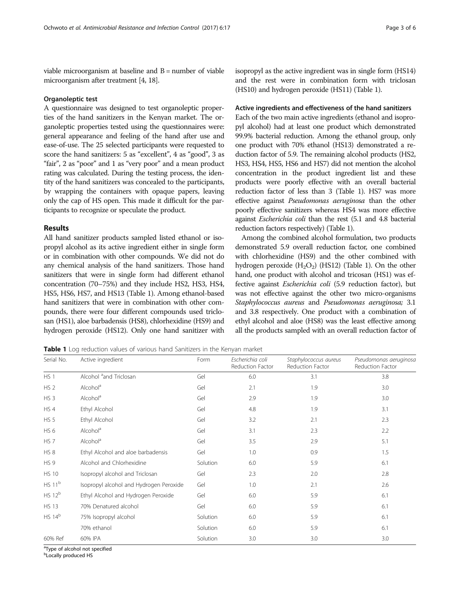<span id="page-2-0"></span>viable microorganism at baseline and B = number of viable microorganism after treatment [[4](#page-5-0), [18](#page-5-0)].

#### Organoleptic test

A questionnaire was designed to test organoleptic properties of the hand sanitizers in the Kenyan market. The organoleptic properties tested using the questionnaires were: general appearance and feeling of the hand after use and ease-of-use. The 25 selected participants were requested to score the hand sanitizers: 5 as "excellent", 4 as "good", 3 as "fair", 2 as "poor" and 1 as "very poor" and a mean product rating was calculated. During the testing process, the identity of the hand sanitizers was concealed to the participants, by wrapping the containers with opaque papers, leaving only the cap of HS open. This made it difficult for the participants to recognize or speculate the product.

## Results

All hand sanitizer products sampled listed ethanol or isopropyl alcohol as its active ingredient either in single form or in combination with other compounds. We did not do any chemical analysis of the hand sanitizers. Those hand sanitizers that were in single form had different ethanol concentration (70–75%) and they include HS2, HS3, HS4, HS5, HS6, HS7, and HS13 (Table 1). Among ethanol-based hand sanitizers that were in combination with other compounds, there were four different compounds used triclosan (HS1), aloe barbadensis (HS8), chlorhexidine (HS9) and hydrogen peroxide (HS12). Only one hand sanitizer with

isopropyl as the active ingredient was in single form (HS14) and the rest were in combination form with triclosan (HS10) and hydrogen peroxide (HS11) (Table 1).

## Active ingredients and effectiveness of the hand sanitizers

Each of the two main active ingredients (ethanol and isopropyl alcohol) had at least one product which demonstrated 99.9% bacterial reduction. Among the ethanol group, only one product with 70% ethanol (HS13) demonstrated a reduction factor of 5.9. The remaining alcohol products (HS2, HS3, HS4, HS5, HS6 and HS7) did not mention the alcohol concentration in the product ingredient list and these products were poorly effective with an overall bacterial reduction factor of less than 3 (Table 1). HS7 was more effective against Pseudomonas aeruginosa than the other poorly effective sanitizers whereas HS4 was more effective against Escherichia coli than the rest (5.1 and 4.8 bacterial reduction factors respectively) (Table 1).

Among the combined alcohol formulation, two products demonstrated 5.9 overall reduction factor, one combined with chlorhexidine (HS9) and the other combined with hydrogen peroxide  $(H_2O_2)$  (HS12) (Table 1). On the other hand, one product with alcohol and tricosan (HS1) was effective against Escherichia coli (5.9 reduction factor), but was not effective against the other two micro-organisms Staphylococcus aureus and Pseudomonas aeruginosa; 3.1 and 3.8 respectively. One product with a combination of ethyl alcohol and aloe (HS8) was the least effective among all the products sampled with an overall reduction factor of

**Table 1** Log reduction values of various hand Sanitizers in the Kenyan market

| Serial No.         | Active ingredient                       | Form     | Escherichia coli<br>Reduction Factor | Staphylococcus aureus<br>Reduction Factor | Pseudomonas aeruginosa<br>Reduction Factor |
|--------------------|-----------------------------------------|----------|--------------------------------------|-------------------------------------------|--------------------------------------------|
| HS <sub>1</sub>    | Alcohol <sup>a</sup> and Triclosan      | Gel      | 6.0                                  | 3.1                                       | 3.8                                        |
| HS <sub>2</sub>    | Alcohol <sup>a</sup>                    | Gel      | 2.1                                  | 1.9                                       | 3.0                                        |
| HS <sub>3</sub>    | Alcohol <sup>a</sup>                    | Gel      | 2.9                                  | 1.9                                       | 3.0                                        |
| HS 4               | Ethyl Alcohol                           | Gel      | 4.8                                  | 1.9                                       | 3.1                                        |
| <b>HS 5</b>        | Ethyl Alcohol                           | Gel      | 3.2                                  | 2.1                                       | 2.3                                        |
| HS <sub>6</sub>    | Alcohol <sup>a</sup>                    | Gel      | 3.1                                  | 2.3                                       | 2.2                                        |
| HS <sub>7</sub>    | Alcohol <sup>a</sup>                    | Gel      | 3.5                                  | 2.9                                       | 5.1                                        |
| HS 8               | Ethyl Alcohol and aloe barbadensis      | Gel      | 1.0                                  | 0.9                                       | 1.5                                        |
| HS <sub>9</sub>    | Alcohol and Chlorhexidine               | Solution | 6.0                                  | 5.9                                       | 6.1                                        |
| <b>HS 10</b>       | Isopropyl alcohol and Triclosan         | Gel      | 2.3                                  | 2.0                                       | 2.8                                        |
| HS 11 <sup>b</sup> | Isopropyl alcohol and Hydrogen Peroxide | Gel      | 1.0                                  | 2.1                                       | 2.6                                        |
| HS 12 <sup>b</sup> | Ethyl Alcohol and Hydrogen Peroxide     | Gel      | 6.0                                  | 5.9                                       | 6.1                                        |
| <b>HS 13</b>       | 70% Denatured alcohol                   | Gel      | 6.0                                  | 5.9                                       | 6.1                                        |
| HS 14 <sup>b</sup> | 75% Isopropyl alcohol                   | Solution | 6.0                                  | 5.9                                       | 6.1                                        |
|                    | 70% ethanol                             | Solution | 6.0                                  | 5.9                                       | 6.1                                        |
| 60% Ref            | 60% IPA                                 | Solution | 3.0                                  | 3.0                                       | 3.0                                        |

<sup>a</sup>Type of alcohol not specified

**b**Locally produced HS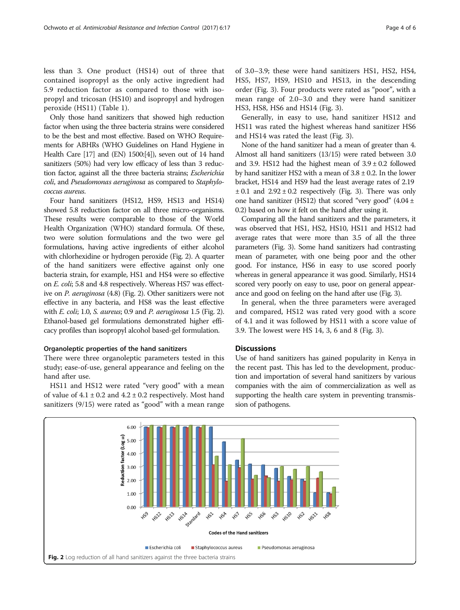less than 3. One product (HS14) out of three that contained isopropyl as the only active ingredient had 5.9 reduction factor as compared to those with isopropyl and tricosan (HS10) and isopropyl and hydrogen peroxide (HS11) (Table [1\)](#page-2-0).

Only those hand sanitizers that showed high reduction factor when using the three bacteria strains were considered to be the best and most effective. Based on WHO Requirements for ABHRs (WHO Guidelines on Hand Hygiene in Health Care [[17](#page-5-0)] and (EN) 1500:[\[4](#page-5-0)]), seven out of 14 hand sanitizers (50%) had very low efficacy of less than 3 reduction factor, against all the three bacteria strains; Escherichia coli, and Pseudomonas aeruginosa as compared to Staphylococcus aureus.

Four hand sanitizers (HS12, HS9, HS13 and HS14) showed 5.8 reduction factor on all three micro-organisms. These results were comparable to those of the World Health Organization (WHO) standard formula. Of these, two were solution formulations and the two were gel formulations, having active ingredients of either alcohol with chlorhexidine or hydrogen peroxide (Fig. 2). A quarter of the hand sanitizers were effective against only one bacteria strain, for example, HS1 and HS4 were so effective on E. coli; 5.8 and 4.8 respectively. Whereas HS7 was effective on P. aeruginosa (4.8) (Fig. 2). Other sanitizers were not effective in any bacteria, and HS8 was the least effective with E. coli; 1.0, S. aureus; 0.9 and P. aeruginosa 1.5 (Fig. 2). Ethanol-based gel formulations demonstrated higher efficacy profiles than isopropyl alcohol based-gel formulation.

## Organoleptic properties of the hand sanitizers

There were three organoleptic parameters tested in this study; ease-of-use, general appearance and feeling on the hand after use.

HS11 and HS12 were rated "very good" with a mean of value of  $4.1 \pm 0.2$  and  $4.2 \pm 0.2$  respectively. Most hand sanitizers (9/15) were rated as "good" with a mean range of 3.0–3.9; these were hand sanitizers HS1, HS2, HS4, HS5, HS7, HS9, HS10 and HS13, in the descending order (Fig. [3](#page-4-0)). Four products were rated as "poor", with a mean range of 2.0–3.0 and they were hand sanitizer HS3, HS8, HS6 and HS14 (Fig. [3](#page-4-0)).

Generally, in easy to use, hand sanitizer HS12 and HS11 was rated the highest whereas hand sanitizer HS6 and HS14 was rated the least (Fig. [3\)](#page-4-0).

None of the hand sanitizer had a mean of greater than 4. Almost all hand sanitizers (13/15) were rated between 3.0 and 3.9. HS12 had the highest mean of  $3.9 \pm 0.2$  followed by hand sanitizer HS2 with a mean of  $3.8 \pm 0.2$ . In the lower bracket, HS14 and HS9 had the least average rates of 2.19  $\pm$  0.1 and 2.92  $\pm$  0.2 respectively (Fig. [3\)](#page-4-0). There was only one hand sanitizer (HS12) that scored "very good"  $(4.04 \pm 1)$ 0.2) based on how it felt on the hand after using it.

Comparing all the hand sanitizers and the parameters, it was observed that HS1, HS2, HS10, HS11 and HS12 had average rates that were more than 3.5 of all the three parameters (Fig. [3\)](#page-4-0). Some hand sanitizers had contrasting mean of parameter, with one being poor and the other good. For instance, HS6 in easy to use scored poorly whereas in general appearance it was good. Similarly, HS14 scored very poorly on easy to use, poor on general appearance and good on feeling on the hand after use (Fig. [3](#page-4-0)).

In general, when the three parameters were averaged and compared, HS12 was rated very good with a score of 4.1 and it was followed by HS11 with a score value of 3.9. The lowest were HS 14, 3, 6 and 8 (Fig. [3\)](#page-4-0).

## **Discussions**

Use of hand sanitizers has gained popularity in Kenya in the recent past. This has led to the development, production and importation of several hand sanitizers by various companies with the aim of commercialization as well as supporting the health care system in preventing transmission of pathogens.

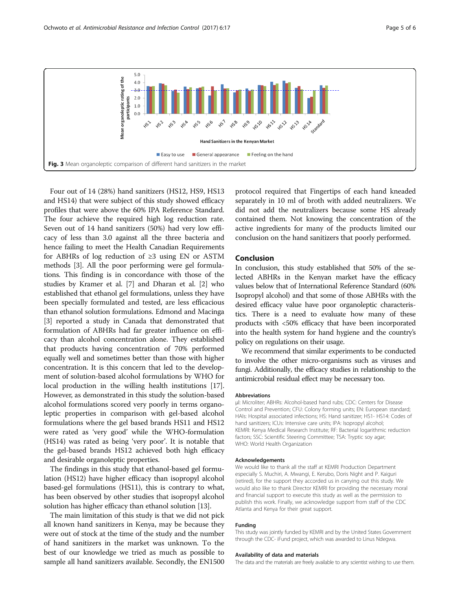<span id="page-4-0"></span>

Four out of 14 (28%) hand sanitizers (HS12, HS9, HS13 and HS14) that were subject of this study showed efficacy profiles that were above the 60% IPA Reference Standard. The four achieve the required high log reduction rate. Seven out of 14 hand sanitizers (50%) had very low efficacy of less than 3.0 against all the three bacteria and hence failing to meet the Health Canadian Requirements for ABHRs of log reduction of ≥3 using EN or ASTM methods [\[3](#page-5-0)]. All the poor performing were gel formulations. This finding is in concordance with those of the studies by Kramer et al. [\[7](#page-5-0)] and Dharan et al. [\[2\]](#page-5-0) who established that ethanol gel formulations, unless they have been specially formulated and tested, are less efficacious than ethanol solution formulations. Edmond and Macinga [[3\]](#page-5-0) reported a study in Canada that demonstrated that formulation of ABHRs had far greater influence on efficacy than alcohol concentration alone. They established that products having concentration of 70% performed equally well and sometimes better than those with higher concentration. It is this concern that led to the development of solution-based alcohol formulations by WHO for local production in the willing health institutions [[17](#page-5-0)]. However, as demonstrated in this study the solution-based alcohol formulations scored very poorly in terms organoleptic properties in comparison with gel-based alcohol formulations where the gel based brands HS11 and HS12 were rated as 'very good' while the WHO-formulation (HS14) was rated as being 'very poor'. It is notable that the gel-based brands HS12 achieved both high efficacy and desirable organoleptic properties.

The findings in this study that ethanol-based gel formulation (HS12) have higher efficacy than isopropyl alcohol based-gel formulations (HS11), this is contrary to what, has been observed by other studies that isopropyl alcohol solution has higher efficacy than ethanol solution [\[13\]](#page-5-0).

The main limitation of this study is that we did not pick all known hand sanitizers in Kenya, may be because they were out of stock at the time of the study and the number of hand sanitizers in the market was unknown. To the best of our knowledge we tried as much as possible to sample all hand sanitizers available. Secondly, the EN1500 protocol required that Fingertips of each hand kneaded separately in 10 ml of broth with added neutralizers. We did not add the neutralizers because some HS already contained them. Not knowing the concentration of the active ingredients for many of the products limited our conclusion on the hand sanitizers that poorly performed.

## Conclusion

In conclusion, this study established that 50% of the selected ABHRs in the Kenyan market have the efficacy values below that of International Reference Standard (60% Isopropyl alcohol) and that some of those ABHRs with the desired efficacy value have poor organoleptic characteristics. There is a need to evaluate how many of these products with <50% efficacy that have been incorporated into the health system for hand hygiene and the country's policy on regulations on their usage.

We recommend that similar experiments to be conducted to involve the other micro-organisms such as viruses and fungi. Additionally, the efficacy studies in relationship to the antimicrobial residual effect may be necessary too.

#### Abbreviations

μl: Microliter; ABHRs: Alcohol-based hand rubs; CDC: Centers for Disease Control and Prevention; CFU: Colony forming units; EN: European standard; HAIs: Hospital associated infections; HS: Hand sanitizer; HS1- HS14: Codes of hand sanitizers; ICUs: Intensive care units; IPA: Isopropyl alcohol; KEMRI: Kenya Medical Research Institute; RF: Bacterial logarithmic reduction factors; SSC: Scientific Steering Committee; TSA: Tryptic soy agar; WHO: World Health Organization

#### Acknowledgements

We would like to thank all the staff at KEMRI Production Department especially S. Muchiri, A. Mwangi, E. Kerubo, Doris Night and P. Kaiguri (retired), for the support they accorded us in carrying out this study. We would also like to thank Director KEMRI for providing the necessary moral and financial support to execute this study as well as the permission to publish this work. Finally, we acknowledge support from staff of the CDC Atlanta and Kenya for their great support.

#### Funding

This study was jointly funded by KEMRI and by the United States Government through the CDC- iFund project, which was awarded to Linus Ndegwa.

#### Availability of data and materials

The data and the materials are freely available to any scientist wishing to use them.